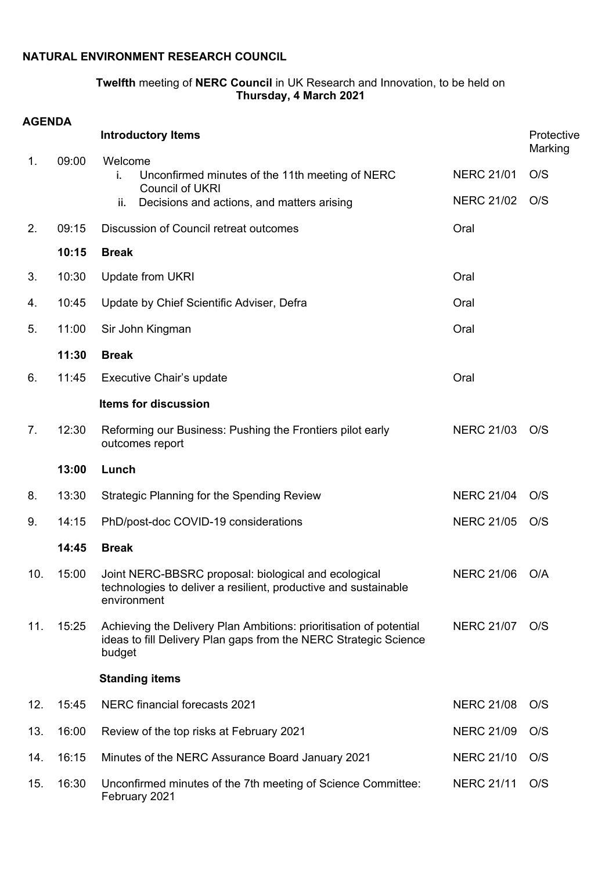## **NATURAL ENVIRONMENT RESEARCH COUNCIL**

## **Twelfth** meeting of **NERC Council** in UK Research and Innovation, to be held on **Thursday, 4 March 2021**

| <b>AGENDA</b>  |       |                                                                                                                                                  |                   |                       |
|----------------|-------|--------------------------------------------------------------------------------------------------------------------------------------------------|-------------------|-----------------------|
|                |       | <b>Introductory Items</b>                                                                                                                        |                   | Protective<br>Marking |
| 1.             | 09:00 | Welcome<br>Unconfirmed minutes of the 11th meeting of NERC<br>i.                                                                                 | <b>NERC 21/01</b> | O/S                   |
|                |       | <b>Council of UKRI</b><br>Decisions and actions, and matters arising<br>ii.                                                                      | <b>NERC 21/02</b> | O/S                   |
| 2.             | 09:15 | Discussion of Council retreat outcomes                                                                                                           | Oral              |                       |
|                | 10:15 | <b>Break</b>                                                                                                                                     |                   |                       |
| 3.             | 10:30 | <b>Update from UKRI</b>                                                                                                                          | Oral              |                       |
| 4.             | 10:45 | Update by Chief Scientific Adviser, Defra                                                                                                        | Oral              |                       |
| 5.             | 11:00 | Sir John Kingman                                                                                                                                 | Oral              |                       |
|                | 11:30 | <b>Break</b>                                                                                                                                     |                   |                       |
| 6.             | 11:45 | Executive Chair's update                                                                                                                         | Oral              |                       |
|                |       | Items for discussion                                                                                                                             |                   |                       |
| 7 <sub>1</sub> | 12:30 | Reforming our Business: Pushing the Frontiers pilot early<br>outcomes report                                                                     | <b>NERC 21/03</b> | O/S                   |
|                | 13:00 | Lunch                                                                                                                                            |                   |                       |
| 8.             | 13:30 | <b>Strategic Planning for the Spending Review</b>                                                                                                | <b>NERC 21/04</b> | O/S                   |
| 9.             | 14:15 | PhD/post-doc COVID-19 considerations                                                                                                             | <b>NERC 21/05</b> | O/S                   |
|                | 14:45 | <b>Break</b>                                                                                                                                     |                   |                       |
| 10.            | 15:00 | Joint NERC-BBSRC proposal: biological and ecological<br>technologies to deliver a resilient, productive and sustainable<br>environment           | <b>NERC 21/06</b> | O/A                   |
| 11.            | 15:25 | Achieving the Delivery Plan Ambitions: prioritisation of potential<br>ideas to fill Delivery Plan gaps from the NERC Strategic Science<br>budget | <b>NERC 21/07</b> | O/S                   |
|                |       | <b>Standing items</b>                                                                                                                            |                   |                       |
| 12.            | 15:45 | <b>NERC financial forecasts 2021</b>                                                                                                             | <b>NERC 21/08</b> | O/S                   |
| 13.            | 16:00 | Review of the top risks at February 2021                                                                                                         | <b>NERC 21/09</b> | O/S                   |
| 14.            | 16:15 | Minutes of the NERC Assurance Board January 2021                                                                                                 | <b>NERC 21/10</b> | O/S                   |
| 15.            | 16:30 | Unconfirmed minutes of the 7th meeting of Science Committee:<br>February 2021                                                                    | <b>NERC 21/11</b> | O/S                   |